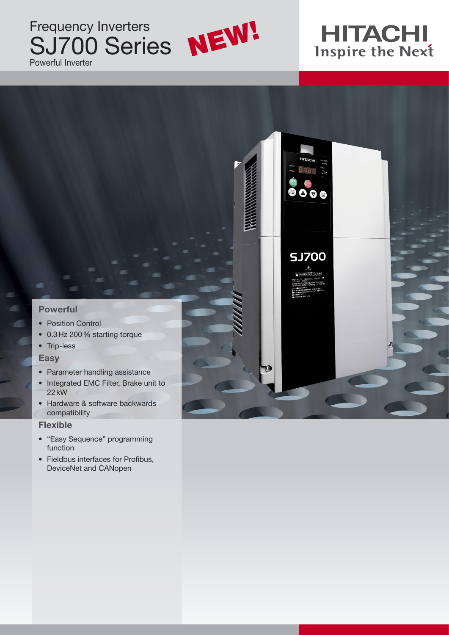### Frequency Inverters SJ700 Series Powerful Inverter



# **HITACHI**<br>Inspire the Next

**COLORED STR** 

**SJ700** 

#### **Powerful**

- Position Control
- 0.3 Hz 200 % starting torque
- Trip-less

#### **Easy**

- Parameter handling assistance
- Integrated EMC Filter, Brake unit to 22 kW
- Hardware & software backwards compatibility

#### **Flexible**

- "Easy Sequence" programming function
- Fieldbus interfaces for Profibus, DeviceNet and CANopen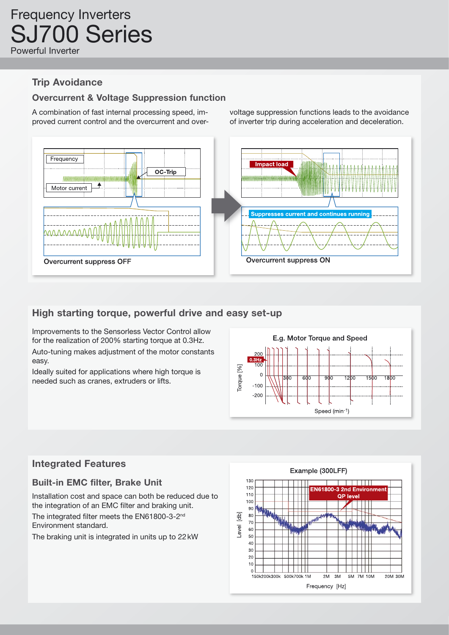#### **Trip Avoidance**

#### **Overcurrent & Voltage Suppression function**

A combination of fast internal processing speed, improved current control and the overcurrent and overvoltage suppression functions leads to the avoidance of inverter trip during acceleration and deceleration.



#### **High starting torque, powerful drive and easy set-up**

Improvements to the Sensorless Vector Control allow for the realization of 200% starting torque at 0.3Hz.

Auto-tuning makes adjustment of the motor constants easy.

Ideally suited for applications where high torque is needed such as cranes, extruders or lifts.



#### **Integrated Features**

#### **Built-in EMC filter, Brake Unit**

Installation cost and space can both be reduced due to the integration of an EMC filter and braking unit.

The integrated filter meets the EN61800-3-2nd Environment standard.

The braking unit is integrated in units up to 22 kW

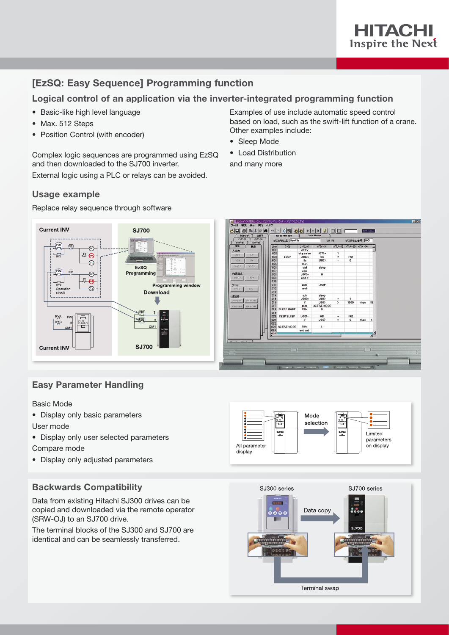

#### **[EzSQ: Easy Sequence] Programming function**

#### **Logical control of an application via the inverter-integrated programming function**

- Basic-like high level language
- Max. 512 Steps
- Position Control (with encoder)

Complex logic sequences are programmed using EzSQ and then downloaded to the SJ700 inverter.

External logic using a PLC or relays can be avoided.

#### **Usage example**



#### Replace relay sequence through software

#### **Easy Parameter Handling**

#### Basic Mode

- Display only basic parameters User mode
- Display only user selected parameters
- Compare mode
- Display only adjusted parameters

#### **Backwards Compatibility**

Data from existing Hitachi SJ300 drives can be copied and downloaded via the remote operator (SRW-OJ) to an SJ700 drive.

The terminal blocks of the SJ300 and SJ700 are identical and can be seamlessly transferred.



Examples of use include automatic speed control based on load, such as the swift-lift function of a crane.

Other examples include:

• Sleep Mode • Load Distribution and many more